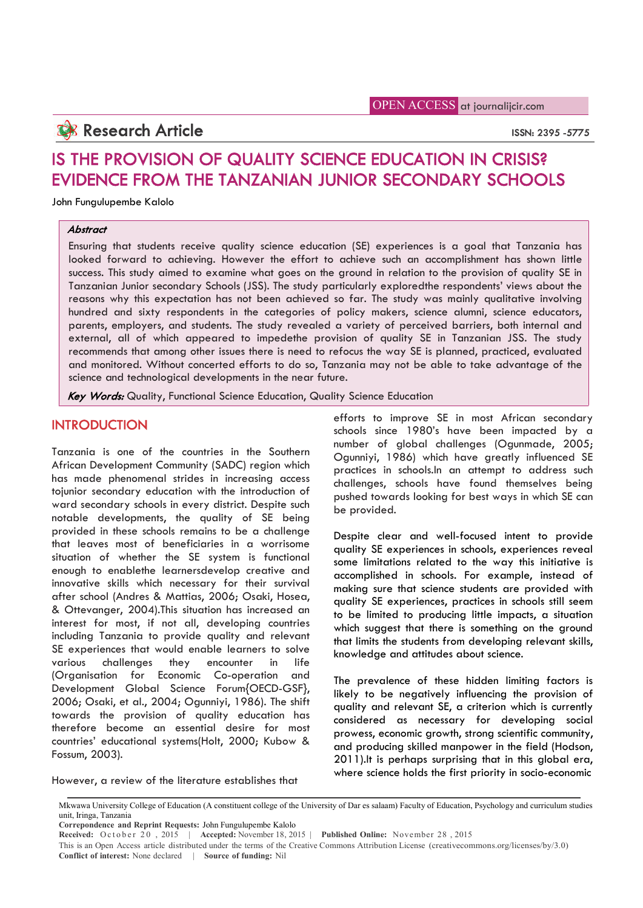OPEN ACCESS at journalijcir.com

# **Research Article** ISSN: 2395 -5775

# IS THE PROVISION OF QUALITY SCIENCE EDUCATION IN CRISIS? EVIDENCE FROM THE TANZANIAN JUNIOR SECONDARY SCHOOLS

John Fungulupembe Kalolo

# **Abstract**

Ensuring that students receive quality science education (SE) experiences is a goal that Tanzania has looked forward to achieving. However the effort to achieve such an accomplishment has shown little success. This study aimed to examine what goes on the ground in relation to the provision of quality SE in Tanzanian Junior secondary Schools (JSS). The study particularly exploredthe respondents' views about the reasons why this expectation has not been achieved so far. The study was mainly qualitative involving hundred and sixty respondents in the categories of policy makers, science alumni, science educators, parents, employers, and students. The study revealed a variety of perceived barriers, both internal and external, all of which appeared to impedethe provision of quality SE in Tanzanian JSS. The study recommends that among other issues there is need to refocus the way SE is planned, practiced, evaluated and monitored. Without concerted efforts to do so, Tanzania may not be able to take advantage of the science and technological developments in the near future.

**Key Words:** Quality, Functional Science Education, Quality Science Education

# **INTRODUCTION**

Tanzania is one of the countries in the Southern African Development Community (SADC) region which has made phenomenal strides in increasing access tojunior secondary education with the introduction of ward secondary schools in every district. Despite such notable developments, the quality of SE being provided in these schools remains to be a challenge that leaves most of beneficiaries in a worrisome situation of whether the SE system is functional enough to enablethe learnersdevelop creative and innovative skills which necessary for their survival after school (Andres & Mattias, 2006; Osaki, Hosea, & Ottevanger, 2004).This situation has increased an interest for most, if not all, developing countries including Tanzania to provide quality and relevant SE experiences that would enable learners to solve various challenges they encounter in life (Organisation for Economic Co-operation and Development Global Science Forum{OECD-GSF}, 2006; Osaki, et al., 2004; Ogunniyi, 1986). The shift towards the provision of quality education has therefore become an essential desire for most countries' educational systems(Holt, 2000; Kubow & Fossum, 2003).

However, a review of the literature establishes that

efforts to improve SE in most African secondary schools since 1980's have been impacted by a number of global challenges (Ogunmade, 2005; Ogunniyi, 1986) which have greatly influenced SE practices in schools.In an attempt to address such challenges, schools have found themselves being pushed towards looking for best ways in which SE can be provided.

Despite clear and well-focused intent to provide quality SE experiences in schools, experiences reveal some limitations related to the way this initiative is accomplished in schools. For example, instead of making sure that science students are provided with quality SE experiences, practices in schools still seem to be limited to producing little impacts, a situation which suggest that there is something on the ground that limits the students from developing relevant skills, knowledge and attitudes about science.

The prevalence of these hidden limiting factors is likely to be negatively influencing the provision of quality and relevant SE, a criterion which is currently considered as necessary for developing social prowess, economic growth, strong scientific community, and producing skilled manpower in the field (Hodson, 2011).It is perhaps surprising that in this global era, where science holds the first priority in socio-economic

**Correpondence and Reprint Requests:** John Fungulupembe Kalolo

This is an Open Access article distributed under the terms of the Creative Commons Attribution License (creativecommons.org/licenses/by/3.0) **Conflict of interest:** None declared | **Source of funding:** Nil

Mkwawa University College of Education (A constituent college of the University of Dar es salaam) Faculty of Education, Psychology and curriculum studies unit, Iringa, Tanzania

**Received:** October 20, 2015 | **Accepted:** November 18, 2015 | **Published Online:** November 28, 2015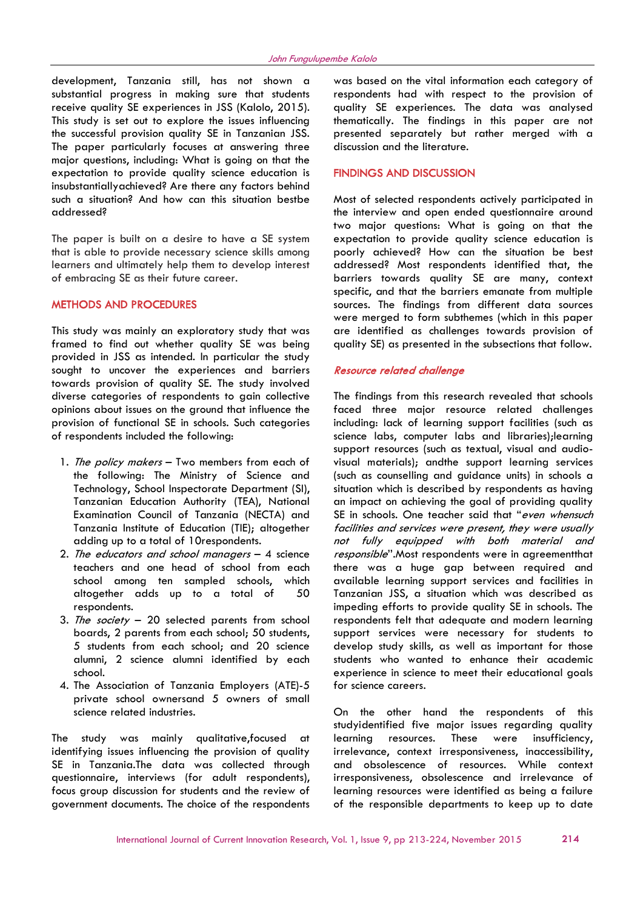development, Tanzania still, has not shown a substantial progress in making sure that students receive quality SE experiences in JSS (Kalolo, 2015). This study is set out to explore the issues influencing the successful provision quality SE in Tanzanian JSS. The paper particularly focuses at answering three major questions, including: What is going on that the expectation to provide quality science education is insubstantiallyachieved? Are there any factors behind such a situation? And how can this situation bestbe addressed?

The paper is built on a desire to have a SE system that is able to provide necessary science skills among learners and ultimately help them to develop interest of embracing SE as their future career.

# METHODS AND PROCEDURES

This study was mainly an exploratory study that was framed to find out whether quality SE was being provided in JSS as intended. In particular the study sought to uncover the experiences and barriers towards provision of quality SE. The study involved diverse categories of respondents to gain collective opinions about issues on the ground that influence the provision of functional SE in schools. Such categories of respondents included the following:

- 1. The policy makers Two members from each of the following: The Ministry of Science and Technology, School Inspectorate Department (SI), Tanzanian Education Authority (TEA), National Examination Council of Tanzania (NECTA) and Tanzania Institute of Education (TIE); altogether adding up to a total of 10respondents.
- 2. The educators and school managers 4 science teachers and one head of school from each school among ten sampled schools, which altogether adds up to a total of 50 respondents.
- 3. The society  $-20$  selected parents from school boards, 2 parents from each school; 50 students, 5 students from each school; and 20 science alumni, 2 science alumni identified by each school.
- 4. The Association of Tanzania Employers (ATE)-5 private school ownersand 5 owners of small science related industries.

The study was mainly qualitative,focused at identifying issues influencing the provision of quality SE in Tanzania.The data was collected through questionnaire, interviews (for adult respondents), focus group discussion for students and the review of government documents. The choice of the respondents was based on the vital information each category of respondents had with respect to the provision of quality SE experiences. The data was analysed thematically. The findings in this paper are not presented separately but rather merged with a discussion and the literature.

## FINDINGS AND DISCUSSION

Most of selected respondents actively participated in the interview and open ended questionnaire around two major questions: What is going on that the expectation to provide quality science education is poorly achieved? How can the situation be best addressed? Most respondents identified that, the barriers towards quality SE are many, context specific, and that the barriers emanate from multiple sources. The findings from different data sources were merged to form subthemes (which in this paper are identified as challenges towards provision of quality SE) as presented in the subsections that follow.

#### Resource related challenge

The findings from this research revealed that schools faced three major resource related challenges including: lack of learning support facilities (such as science labs, computer labs and libraries);learning support resources (such as textual, visual and audiovisual materials); andthe support learning services (such as counselling and guidance units) in schools a situation which is described by respondents as having an impact on achieving the goal of providing quality SE in schools. One teacher said that "even whensuch facilities and services were present, they were usually not fully equipped with both material and responsible". Most respondents were in agreementthat there was a huge gap between required and available learning support services and facilities in Tanzanian JSS, a situation which was described as impeding efforts to provide quality SE in schools. The respondents felt that adequate and modern learning support services were necessary for students to develop study skills, as well as important for those students who wanted to enhance their academic experience in science to meet their educational goals for science careers.

On the other hand the respondents of this studyidentified five major issues regarding quality learning resources. These were insufficiency, irrelevance, context irresponsiveness, inaccessibility, and obsolescence of resources. While context irresponsiveness, obsolescence and irrelevance of learning resources were identified as being a failure of the responsible departments to keep up to date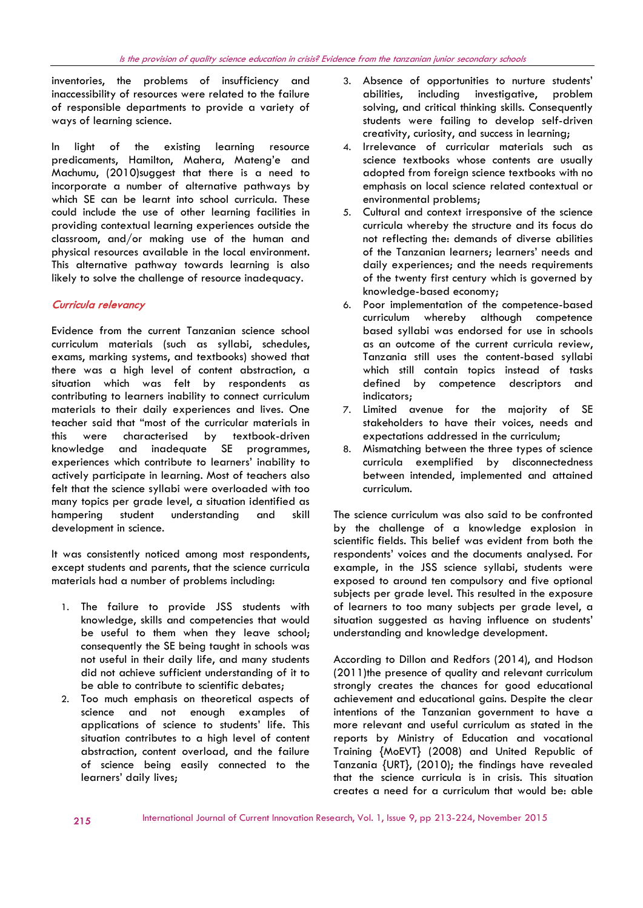inventories, the problems of insufficiency and inaccessibility of resources were related to the failure of responsible departments to provide a variety of ways of learning science.

In light of the existing learning resource predicaments, Hamilton, Mahera, Mateng'e and Machumu, (2010)suggest that there is a need to incorporate a number of alternative pathways by which SE can be learnt into school curricula. These could include the use of other learning facilities in providing contextual learning experiences outside the classroom, and/or making use of the human and physical resources available in the local environment. This alternative pathway towards learning is also likely to solve the challenge of resource inadequacy.

# Curricula relevancy

Evidence from the current Tanzanian science school curriculum materials (such as syllabi, schedules, exams, marking systems, and textbooks) showed that there was a high level of content abstraction, a situation which was felt by respondents as contributing to learners inability to connect curriculum materials to their daily experiences and lives. One teacher said that "most of the curricular materials in this were characterised by textbook-driven knowledge and inadequate SE programmes, experiences which contribute to learners' inability to actively participate in learning. Most of teachers also felt that the science syllabi were overloaded with too many topics per grade level, a situation identified as hampering student understanding and skill development in science.

It was consistently noticed among most respondents, except students and parents, that the science curricula materials had a number of problems including:

- 1. The failure to provide JSS students with knowledge, skills and competencies that would be useful to them when they leave school; consequently the SE being taught in schools was not useful in their daily life, and many students did not achieve sufficient understanding of it to be able to contribute to scientific debates;
- 2. Too much emphasis on theoretical aspects of science and not enough examples of applications of science to students' life. This situation contributes to a high level of content abstraction, content overload, and the failure of science being easily connected to the learners' daily lives;
- 3. Absence of opportunities to nurture students' abilities, including investigative, problem solving, and critical thinking skills. Consequently students were failing to develop self-driven creativity, curiosity, and success in learning;
- 4. Irrelevance of curricular materials such as science textbooks whose contents are usually adopted from foreign science textbooks with no emphasis on local science related contextual or environmental problems;
- 5. Cultural and context irresponsive of the science curricula whereby the structure and its focus do not reflecting the: demands of diverse abilities of the Tanzanian learners; learners' needs and daily experiences; and the needs requirements of the twenty first century which is governed by knowledge-based economy;
- 6. Poor implementation of the competence-based curriculum whereby although competence based syllabi was endorsed for use in schools as an outcome of the current curricula review, Tanzania still uses the content-based syllabi which still contain topics instead of tasks defined by competence descriptors and indicators;
- 7. Limited avenue for the majority of SE stakeholders to have their voices, needs and expectations addressed in the curriculum;
- 8. Mismatching between the three types of science curricula exemplified by disconnectedness between intended, implemented and attained curriculum.

The science curriculum was also said to be confronted by the challenge of a knowledge explosion in scientific fields. This belief was evident from both the respondents' voices and the documents analysed. For example, in the JSS science syllabi, students were exposed to around ten compulsory and five optional subjects per grade level. This resulted in the exposure of learners to too many subjects per grade level, a situation suggested as having influence on students' understanding and knowledge development.

According to Dillon and Redfors (2014), and Hodson (2011)the presence of quality and relevant curriculum strongly creates the chances for good educational achievement and educational gains. Despite the clear intentions of the Tanzanian government to have a more relevant and useful curriculum as stated in the reports by Ministry of Education and vocational Training {MoEVT} (2008) and United Republic of Tanzania {URT}, (2010); the findings have revealed that the science curricula is in crisis. This situation creates a need for a curriculum that would be: able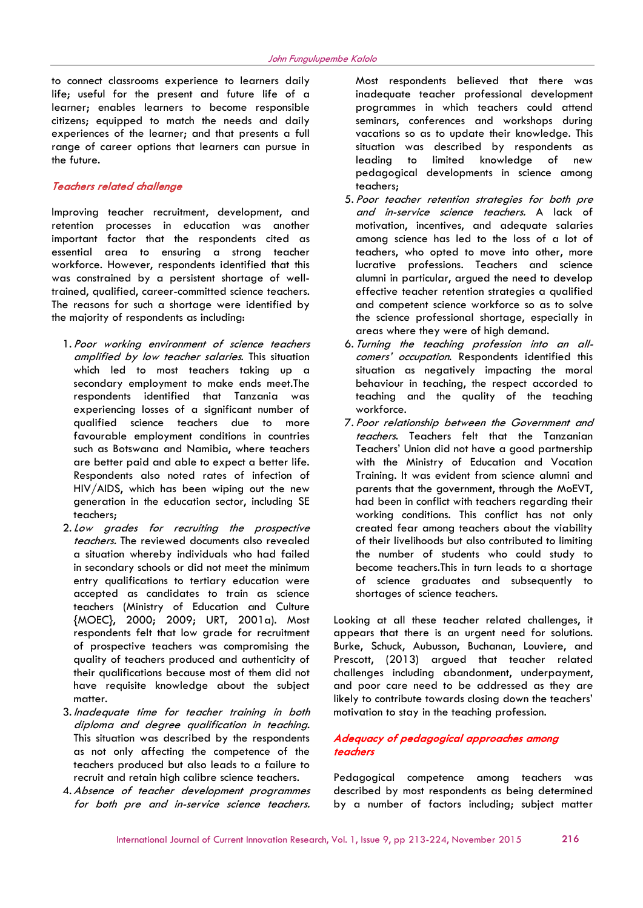to connect classrooms experience to learners daily life; useful for the present and future life of a learner; enables learners to become responsible citizens; equipped to match the needs and daily experiences of the learner; and that presents a full range of career options that learners can pursue in the future.

## Teachers related challenge

Improving teacher recruitment, development, and retention processes in education was another important factor that the respondents cited as essential area to ensuring a strong teacher workforce. However, respondents identified that this was constrained by a persistent shortage of welltrained, qualified, career-committed science teachers. The reasons for such a shortage were identified by the majority of respondents as including:

- 1. Poor working environment of science teachers amplified by low teacher salaries. This situation which led to most teachers taking up a secondary employment to make ends meet.The respondents identified that Tanzania was experiencing losses of a significant number of qualified science teachers due to more favourable employment conditions in countries such as Botswana and Namibia, where teachers are better paid and able to expect a better life. Respondents also noted rates of infection of HIV/AIDS, which has been wiping out the new generation in the education sector, including SE teachers;
- 2.Low grades for recruiting the prospective teachers. The reviewed documents also revealed a situation whereby individuals who had failed in secondary schools or did not meet the minimum entry qualifications to tertiary education were accepted as candidates to train as science teachers (Ministry of Education and Culture {MOEC}, 2000; 2009; URT, 2001a). Most respondents felt that low grade for recruitment of prospective teachers was compromising the quality of teachers produced and authenticity of their qualifications because most of them did not have requisite knowledge about the subject matter.
- 3. Inadequate time for teacher training in both diploma and degree qualification in teaching. This situation was described by the respondents as not only affecting the competence of the teachers produced but also leads to a failure to recruit and retain high calibre science teachers.
- 4.Absence of teacher development programmes for both pre and in-service science teachers.

Most respondents believed that there was inadequate teacher professional development programmes in which teachers could attend seminars, conferences and workshops during vacations so as to update their knowledge. This situation was described by respondents as leading to limited knowledge of new pedagogical developments in science among teachers;

- 5. Poor teacher retention strategies for both pre and in-service science teachers. A lack of motivation, incentives, and adequate salaries among science has led to the loss of a lot of teachers, who opted to move into other, more lucrative professions. Teachers and science alumni in particular, argued the need to develop effective teacher retention strategies a qualified and competent science workforce so as to solve the science professional shortage, especially in areas where they were of high demand.
- 6. Turning the teaching profession into an allcomers' occupation. Respondents identified this situation as negatively impacting the moral behaviour in teaching, the respect accorded to teaching and the quality of the teaching workforce.
- 7. Poor relationship between the Government and teachers. Teachers felt that the Tanzanian Teachers' Union did not have a good partnership with the Ministry of Education and Vocation Training. It was evident from science alumni and parents that the government, through the MoEVT, had been in conflict with teachers regarding their working conditions. This conflict has not only created fear among teachers about the viability of their livelihoods but also contributed to limiting the number of students who could study to become teachers.This in turn leads to a shortage of science graduates and subsequently to shortages of science teachers.

Looking at all these teacher related challenges, it appears that there is an urgent need for solutions. Burke, Schuck, Aubusson, Buchanan, Louviere, and Prescott, (2013) argued that teacher related challenges including abandonment, underpayment, and poor care need to be addressed as they are likely to contribute towards closing down the teachers' motivation to stay in the teaching profession.

# Adequacy of pedagogical approaches among teachers

Pedagogical competence among teachers was described by most respondents as being determined by a number of factors including; subject matter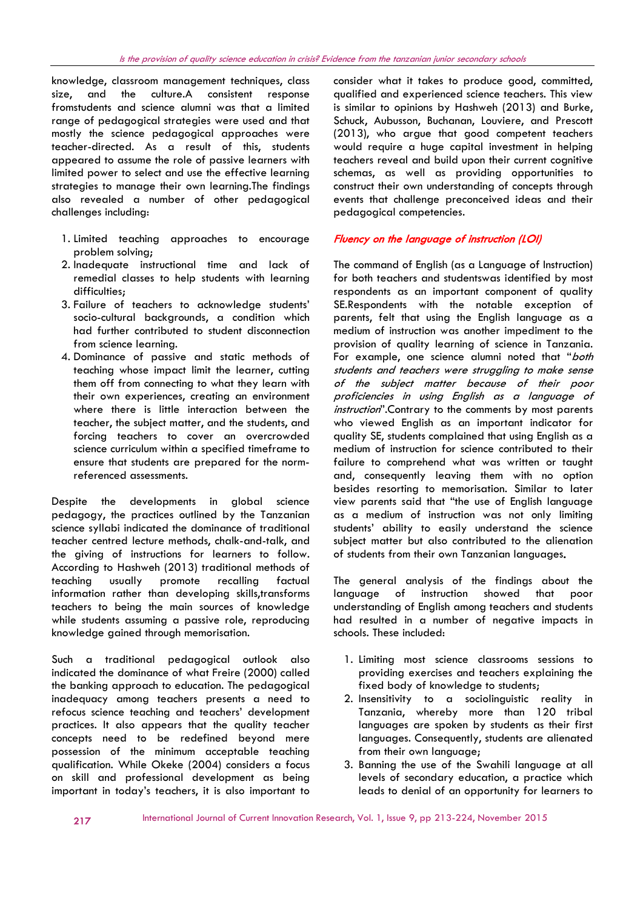knowledge, classroom management techniques, class size, and the culture.A consistent response fromstudents and science alumni was that a limited range of pedagogical strategies were used and that mostly the science pedagogical approaches were teacher-directed. As a result of this, students appeared to assume the role of passive learners with limited power to select and use the effective learning strategies to manage their own learning.The findings also revealed a number of other pedagogical challenges including:

- 1. Limited teaching approaches to encourage problem solving;
- 2. Inadequate instructional time and lack of remedial classes to help students with learning difficulties;
- 3. Failure of teachers to acknowledge students' socio-cultural backgrounds, a condition which had further contributed to student disconnection from science learning.
- 4. Dominance of passive and static methods of teaching whose impact limit the learner, cutting them off from connecting to what they learn with their own experiences, creating an environment where there is little interaction between the teacher, the subject matter, and the students, and forcing teachers to cover an overcrowded science curriculum within a specified timeframe to ensure that students are prepared for the normreferenced assessments.

Despite the developments in global science pedagogy, the practices outlined by the Tanzanian science syllabi indicated the dominance of traditional teacher centred lecture methods, chalk-and-talk, and the giving of instructions for learners to follow. According to Hashweh (2013) traditional methods of teaching usually promote recalling factual information rather than developing skills, transforms teachers to being the main sources of knowledge while students assuming a passive role, reproducing knowledge gained through memorisation.

Such a traditional pedagogical outlook also indicated the dominance of what Freire (2000) called the banking approach to education. The pedagogical inadequacy among teachers presents a need to refocus science teaching and teachers' development practices. It also appears that the quality teacher concepts need to be redefined beyond mere possession of the minimum acceptable teaching qualification. While Okeke (2004) considers a focus on skill and professional development as being important in today's teachers, it is also important to

consider what it takes to produce good, committed, qualified and experienced science teachers. This view is similar to opinions by Hashweh (2013) and Burke, Schuck, Aubusson, Buchanan, Louviere, and Prescott (2013), who argue that good competent teachers would require a huge capital investment in helping teachers reveal and build upon their current cognitive schemas, as well as providing opportunities to construct their own understanding of concepts through events that challenge preconceived ideas and their pedagogical competencies.

# Fluency on the language of instruction (LOI)

The command of English (as a Language of Instruction) for both teachers and studentswas identified by most respondents as an important component of quality SE.Respondents with the notable exception of parents, felt that using the English language as a medium of instruction was another impediment to the provision of quality learning of science in Tanzania. For example, one science alumni noted that "both students and teachers were struggling to make sense of the subject matter because of their poor proficiencies in using English as a language of instruction". Contrary to the comments by most parents who viewed English as an important indicator for quality SE, students complained that using English as a medium of instruction for science contributed to their failure to comprehend what was written or taught and, consequently leaving them with no option besides resorting to memorisation. Similar to later view parents said that "the use of English language as a medium of instruction was not only limiting students' ability to easily understand the science subject matter but also contributed to the alienation of students from their own Tanzanian languages.

The general analysis of the findings about the language of instruction showed that poor understanding of English among teachers and students had resulted in a number of negative impacts in schools. These included:

- 1. Limiting most science classrooms sessions to providing exercises and teachers explaining the fixed body of knowledge to students;
- 2. Insensitivity to a sociolinguistic reality in Tanzania, whereby more than 120 tribal languages are spoken by students as their first languages. Consequently, students are alienated from their own language;
- 3. Banning the use of the Swahili language at all levels of secondary education, a practice which leads to denial of an opportunity for learners to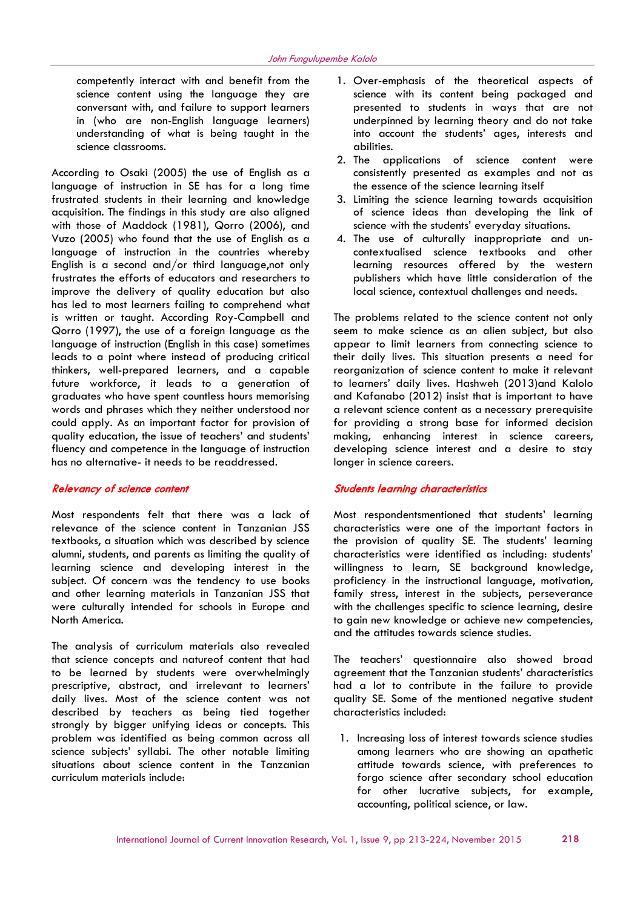competently interact with and benefit from the science content using the language they are conversant with, and failure to support learners in (who are non-English language learners) understanding of what is being taught in the science classrooms.

According to Osaki (2005) the use of English as a language of instruction in SE has for a long time frustrated students in their learning and knowledge acquisition. The findings in this study are also aligned with those of Maddock (1981), Qorro (2006), and Vuzo (2005) who found that the use of English as a language of instruction in the countries whereby English is a second and/or third language,not only frustrates the efforts of educators and researchers to improve the delivery of quality education but also has led to most learners failing to comprehend what is written or taught. According Roy-Campbell and Qorro (1997), the use of a foreign language as the language of instruction (English in this case) sometimes leads to a point where instead of producing critical thinkers, well-prepared learners, and a capable future workforce, it leads to a generation of graduates who have spent countless hours memorising words and phrases which they neither understood nor could apply. As an important factor for provision of quality education, the issue of teachers' and students' fluency and competence in the language of instruction has no alternative- it needs to be readdressed.

#### Relevancy of science content

Most respondents felt that there was a lack of relevance of the science content in Tanzanian JSS textbooks, a situation which was described by science alumni, students, and parents as limiting the quality of learning science and developing interest in the subject. Of concern was the tendency to use books and other learning materials in Tanzanian JSS that were culturally intended for schools in Europe and North America.

The analysis of curriculum materials also revealed that science concepts and natureof content that had to be learned by students were overwhelmingly prescriptive, abstract, and irrelevant to learners' daily lives. Most of the science content was not described by teachers as being tied together strongly by bigger unifying ideas or concepts. This problem was identified as being common across all science subjects' syllabi. The other notable limiting situations about science content in the Tanzanian curriculum materials include:

- 1. Over-emphasis of the theoretical aspects of science with its content being packaged and presented to students in ways that are not underpinned by learning theory and do not take into account the students' ages, interests and abilities.
- 2. The applications of science content were consistently presented as examples and not as the essence of the science learning itself
- 3. Limiting the science learning towards acquisition of science ideas than developing the link of science with the students' everyday situations.
- 4. The use of culturally inappropriate and uncontextualised science textbooks and other learning resources offered by the western publishers which have little consideration of the local science, contextual challenges and needs.

The problems related to the science content not only seem to make science as an alien subject, but also appear to limit learners from connecting science to their daily lives. This situation presents a need for reorganization of science content to make it relevant to learners' daily lives. Hashweh (2013)and Kalolo and Kafanabo (2012) insist that is important to have a relevant science content as a necessary prerequisite for providing a strong base for informed decision making, enhancing interest in science careers, developing science interest and a desire to stay longer in science careers.

### Students learning characteristics

Most respondentsmentioned that students' learning characteristics were one of the important factors in the provision of quality SE. The students' learning characteristics were identified as including: students' willingness to learn, SE background knowledge, proficiency in the instructional language, motivation, family stress, interest in the subjects, perseverance with the challenges specific to science learning, desire to gain new knowledge or achieve new competencies, and the attitudes towards science studies.

The teachers' questionnaire also showed broad agreement that the Tanzanian students' characteristics had a lot to contribute in the failure to provide quality SE. Some of the mentioned negative student characteristics included:

1. Increasing loss of interest towards science studies among learners who are showing an apathetic attitude towards science, with preferences to forgo science after secondary school education for other lucrative subjects, for example, accounting, political science, or law.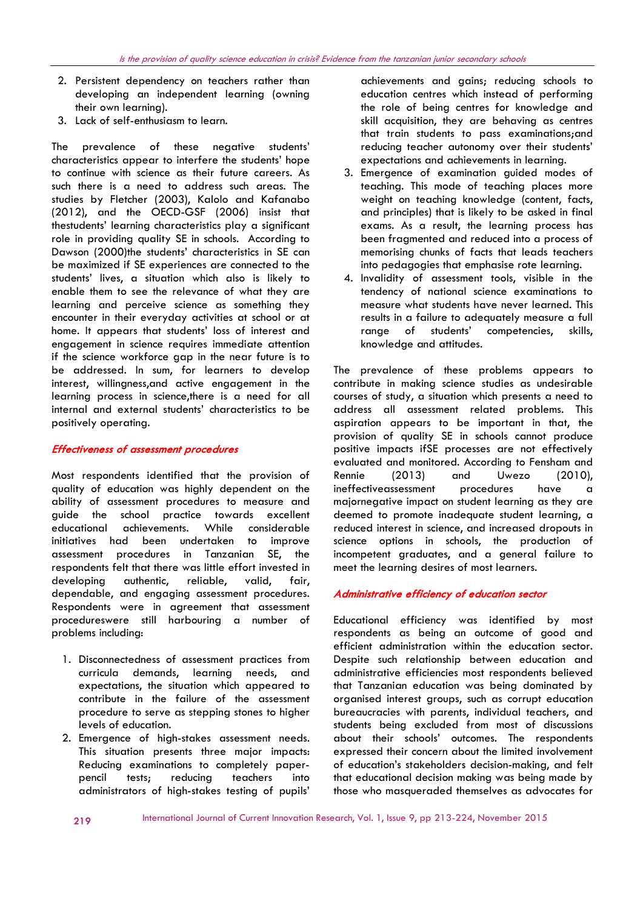- 2. Persistent dependency on teachers rather than developing an independent learning (owning their own learning).
- 3. Lack of self-enthusiasm to learn.

The prevalence of these negative students' characteristics appear to interfere the students' hope to continue with science as their future careers. As such there is a need to address such areas. The studies by Fletcher (2003), Kalolo and Kafanabo (2012), and the OECD-GSF (2006) insist that thestudents' learning characteristics play a significant role in providing quality SE in schools. According to Dawson (2000)the students' characteristics in SE can be maximized if SE experiences are connected to the students' lives, a situation which also is likely to enable them to see the relevance of what they are learning and perceive science as something they encounter in their everyday activities at school or at home. It appears that students' loss of interest and engagement in science requires immediate attention if the science workforce gap in the near future is to be addressed. In sum, for learners to develop interest, willingness,and active engagement in the learning process in science,there is a need for all internal and external students' characteristics to be positively operating.

## Effectiveness of assessment procedures

Most respondents identified that the provision of quality of education was highly dependent on the ability of assessment procedures to measure and guide the school practice towards excellent educational achievements. While considerable initiatives had been undertaken to improve assessment procedures in Tanzanian SE, the respondents felt that there was little effort invested in developing authentic, reliable, valid, fair, dependable, and engaging assessment procedures. Respondents were in agreement that assessment procedureswere still harbouring a number of problems including:

- 1. Disconnectedness of assessment practices from curricula demands, learning needs, and expectations, the situation which appeared to contribute in the failure of the assessment procedure to serve as stepping stones to higher levels of education.
- 2. Emergence of high-stakes assessment needs. This situation presents three major impacts: Reducing examinations to completely paperpencil tests; reducing teachers into administrators of high-stakes testing of pupils'

achievements and gains; reducing schools to education centres which instead of performing the role of being centres for knowledge and skill acquisition, they are behaving as centres that train students to pass examinations;and reducing teacher autonomy over their students' expectations and achievements in learning.

- 3. Emergence of examination guided modes of teaching. This mode of teaching places more weight on teaching knowledge (content, facts, and principles) that is likely to be asked in final exams. As a result, the learning process has been fragmented and reduced into a process of memorising chunks of facts that leads teachers into pedagogies that emphasise rote learning.
- 4. Invalidity of assessment tools, visible in the tendency of national science examinations to measure what students have never learned. This results in a failure to adequately measure a full range of students' competencies, skills, knowledge and attitudes.

The prevalence of these problems appears to contribute in making science studies as undesirable courses of study, a situation which presents a need to address all assessment related problems. This aspiration appears to be important in that, the provision of quality SE in schools cannot produce positive impacts ifSE processes are not effectively evaluated and monitored. According to Fensham and Rennie (2013) and Uwezo (2010), ineffectiveassessment procedures have a majornegative impact on student learning as they are deemed to promote inadequate student learning, a reduced interest in science, and increased dropouts in science options in schools, the production of incompetent graduates, and a general failure to meet the learning desires of most learners.

# Administrative efficiency of education sector

Educational efficiency was identified by most respondents as being an outcome of good and efficient administration within the education sector. Despite such relationship between education and administrative efficiencies most respondents believed that Tanzanian education was being dominated by organised interest groups, such as corrupt education bureaucracies with parents, individual teachers, and students being excluded from most of discussions about their schools' outcomes. The respondents expressed their concern about the limited involvement of education's stakeholders decision-making, and felt that educational decision making was being made by those who masqueraded themselves as advocates for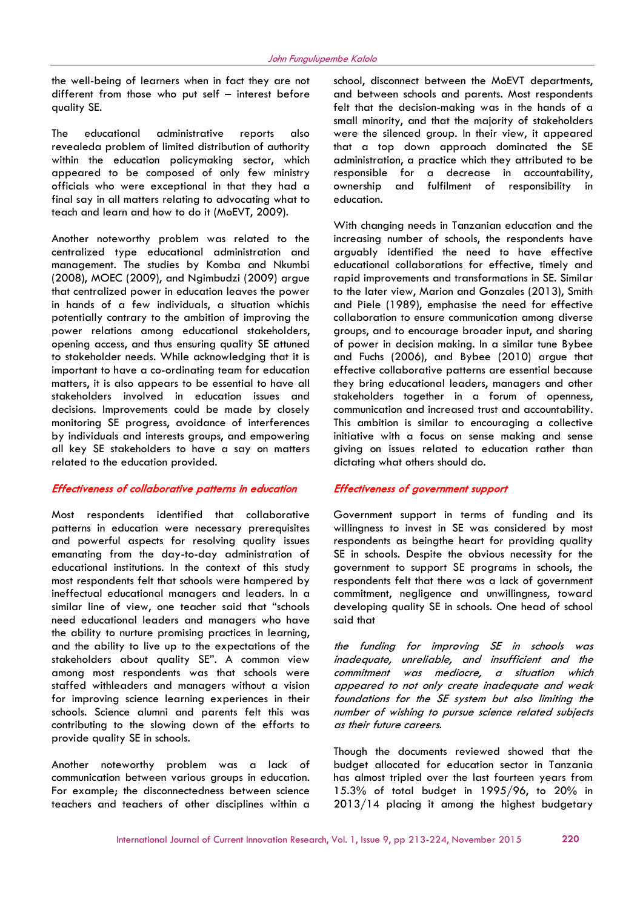the well-being of learners when in fact they are not different from those who put self – interest before quality SE.

The educational administrative reports also revealeda problem of limited distribution of authority within the education policymaking sector, which appeared to be composed of only few ministry officials who were exceptional in that they had a final say in all matters relating to advocating what to teach and learn and how to do it (MoEVT, 2009).

Another noteworthy problem was related to the centralized type educational administration and management. The studies by Komba and Nkumbi (2008), MOEC (2009), and Ngimbudzi (2009) argue that centralized power in education leaves the power in hands of a few individuals, a situation whichis potentially contrary to the ambition of improving the power relations among educational stakeholders, opening access, and thus ensuring quality SE attuned to stakeholder needs. While acknowledging that it is important to have a co-ordinating team for education matters, it is also appears to be essential to have all stakeholders involved in education issues and decisions. Improvements could be made by closely monitoring SE progress, avoidance of interferences by individuals and interests groups, and empowering all key SE stakeholders to have a say on matters related to the education provided.

## Effectiveness of collaborative patterns in education

Most respondents identified that collaborative patterns in education were necessary prerequisites and powerful aspects for resolving quality issues emanating from the day-to-day administration of educational institutions. In the context of this study most respondents felt that schools were hampered by ineffectual educational managers and leaders. In a similar line of view, one teacher said that "schools need educational leaders and managers who have the ability to nurture promising practices in learning, and the ability to live up to the expectations of the stakeholders about quality SE". A common view among most respondents was that schools were staffed withleaders and managers without a vision for improving science learning experiences in their schools. Science alumni and parents felt this was contributing to the slowing down of the efforts to provide quality SE in schools.

Another noteworthy problem was a lack of communication between various groups in education. For example; the disconnectedness between science teachers and teachers of other disciplines within a school, disconnect between the MoEVT departments, and between schools and parents. Most respondents felt that the decision-making was in the hands of a small minority, and that the majority of stakeholders were the silenced group. In their view, it appeared that a top down approach dominated the SE administration, a practice which they attributed to be responsible for a decrease in accountability, ownership and fulfilment of responsibility in education.

With changing needs in Tanzanian education and the increasing number of schools, the respondents have arguably identified the need to have effective educational collaborations for effective, timely and rapid improvements and transformations in SE. Similar to the later view, Marion and Gonzales (2013), Smith and Piele (1989), emphasise the need for effective collaboration to ensure communication among diverse groups, and to encourage broader input, and sharing of power in decision making. In a similar tune Bybee and Fuchs (2006), and Bybee (2010) argue that effective collaborative patterns are essential because they bring educational leaders, managers and other stakeholders together in a forum of openness, communication and increased trust and accountability. This ambition is similar to encouraging a collective initiative with a focus on sense making and sense giving on issues related to education rather than dictating what others should do.

#### Effectiveness of government support

Government support in terms of funding and its willingness to invest in SE was considered by most respondents as beingthe heart for providing quality SE in schools. Despite the obvious necessity for the government to support SE programs in schools, the respondents felt that there was a lack of government commitment, negligence and unwillingness, toward developing quality SE in schools. One head of school said that

the funding for improving SE in schools was inadequate, unreliable, and insufficient and the commitment was mediocre, a situation which appeared to not only create inadequate and weak foundations for the SE system but also limiting the number of wishing to pursue science related subjects as their future careers.

Though the documents reviewed showed that the budget allocated for education sector in Tanzania has almost tripled over the last fourteen years from 15.3% of total budget in 1995/96, to 20% in 2013/14 placing it among the highest budgetary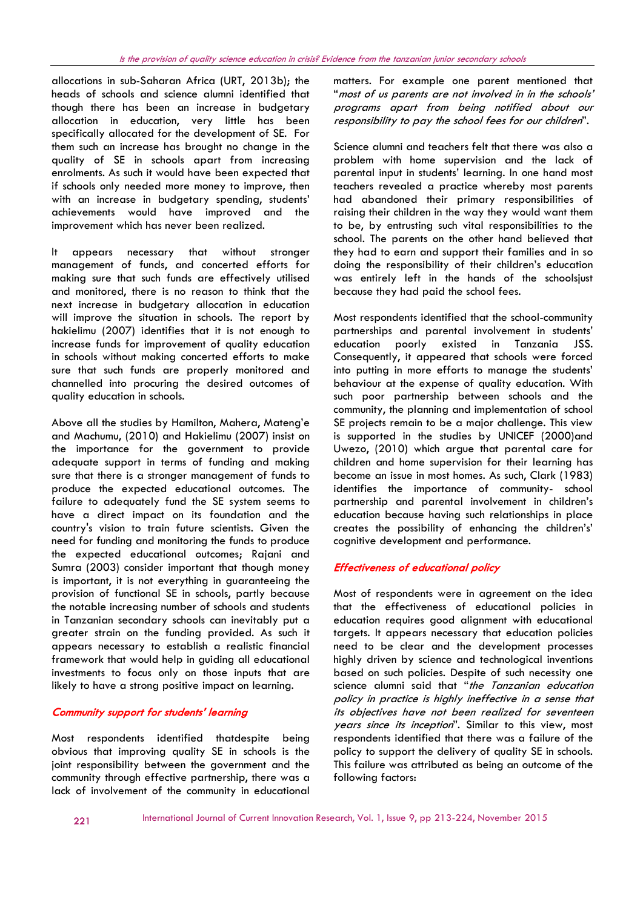allocations in sub-Saharan Africa (URT, 2013b); the heads of schools and science alumni identified that though there has been an increase in budgetary allocation in education, very little has been specifically allocated for the development of SE. For them such an increase has brought no change in the quality of SE in schools apart from increasing enrolments. As such it would have been expected that if schools only needed more money to improve, then with an increase in budgetary spending, students' achievements would have improved and the improvement which has never been realized.

It appears necessary that without stronger management of funds, and concerted efforts for making sure that such funds are effectively utilised and monitored, there is no reason to think that the next increase in budgetary allocation in education will improve the situation in schools. The report by hakielimu (2007) identifies that it is not enough to increase funds for improvement of quality education in schools without making concerted efforts to make sure that such funds are properly monitored and channelled into procuring the desired outcomes of quality education in schools.

Above all the studies by Hamilton, Mahera, Mateng'e and Machumu, (2010) and Hakielimu (2007) insist on the importance for the government to provide adequate support in terms of funding and making sure that there is a stronger management of funds to produce the expected educational outcomes. The failure to adequately fund the SE system seems to have a direct impact on its foundation and the country's vision to train future scientists. Given the need for funding and monitoring the funds to produce the expected educational outcomes; Rajani and Sumra (2003) consider important that though money is important, it is not everything in guaranteeing the provision of functional SE in schools, partly because the notable increasing number of schools and students in Tanzanian secondary schools can inevitably put a greater strain on the funding provided. As such it appears necessary to establish a realistic financial framework that would help in guiding all educational investments to focus only on those inputs that are likely to have a strong positive impact on learning.

# Community support for students' learning

Most respondents identified thatdespite being obvious that improving quality SE in schools is the joint responsibility between the government and the community through effective partnership, there was a lack of involvement of the community in educational

matters. For example one parent mentioned that "most of us parents are not involved in in the schools' programs apart from being notified about our responsibility to pay the school fees for our children".

Science alumni and teachers felt that there was also a problem with home supervision and the lack of parental input in students' learning. In one hand most teachers revealed a practice whereby most parents had abandoned their primary responsibilities of raising their children in the way they would want them to be, by entrusting such vital responsibilities to the school. The parents on the other hand believed that they had to earn and support their families and in so doing the responsibility of their children's education was entirely left in the hands of the schoolsjust because they had paid the school fees.

Most respondents identified that the school-community partnerships and parental involvement in students' education poorly existed in Tanzania JSS. Consequently, it appeared that schools were forced into putting in more efforts to manage the students' behaviour at the expense of quality education. With such poor partnership between schools and the community, the planning and implementation of school SE projects remain to be a major challenge. This view is supported in the studies by UNICEF (2000)and Uwezo, (2010) which argue that parental care for children and home supervision for their learning has become an issue in most homes. As such, Clark (1983) identifies the importance of community- school partnership and parental involvement in children's education because having such relationships in place creates the possibility of enhancing the children's' cognitive development and performance.

# Effectiveness of educational policy

Most of respondents were in agreement on the idea that the effectiveness of educational policies in education requires good alignment with educational targets. It appears necessary that education policies need to be clear and the development processes highly driven by science and technological inventions based on such policies. Despite of such necessity one science alumni said that "the Tanzanian education policy in practice is highly ineffective in a sense that its objectives have not been realized for seventeen years since its inception". Similar to this view, most respondents identified that there was a failure of the policy to support the delivery of quality SE in schools. This failure was attributed as being an outcome of the following factors: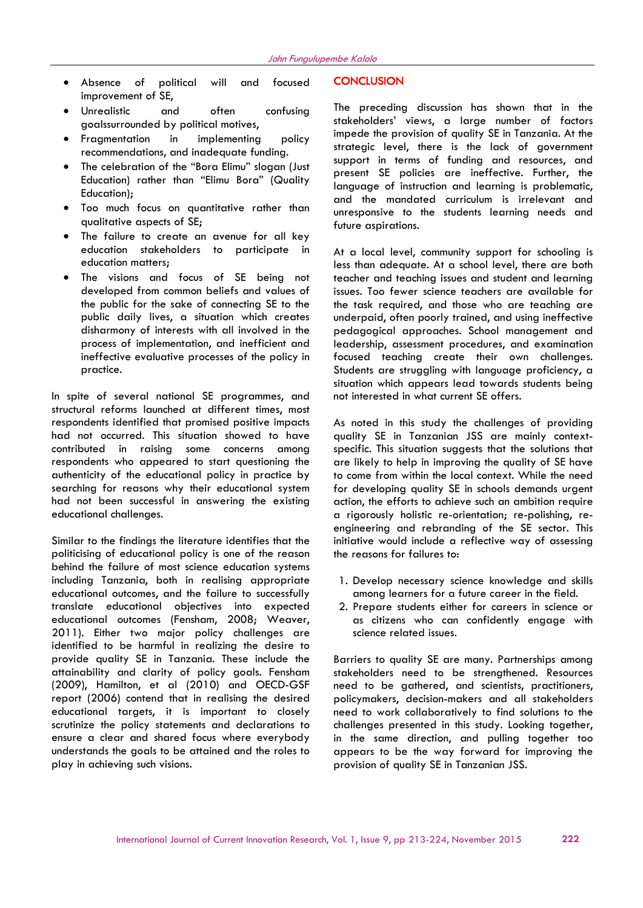- Absence of political will and focused improvement of SE,
- Unrealistic and often confusing goalssurrounded by political motives,
- Fragmentation in implementing policy recommendations, and inadequate funding.
- The celebration of the "Bora Elimu" slogan (Just Education) rather than "Elimu Bora" (Quality Education);
- Too much focus on quantitative rather than qualitative aspects of SE;
- The failure to create an avenue for all key education stakeholders to participate in education matters;
- The visions and focus of SE being not developed from common beliefs and values of the public for the sake of connecting SE to the public daily lives, a situation which creates disharmony of interests with all involved in the process of implementation, and inefficient and ineffective evaluative processes of the policy in practice.

In spite of several national SE programmes, and structural reforms launched at different times, most respondents identified that promised positive impacts had not occurred. This situation showed to have contributed in raising some concerns among respondents who appeared to start questioning the authenticity of the educational policy in practice by searching for reasons why their educational system had not been successful in answering the existing educational challenges.

Similar to the findings the literature identifies that the politicising of educational policy is one of the reason behind the failure of most science education systems including Tanzania, both in realising appropriate educational outcomes, and the failure to successfully translate educational objectives into expected educational outcomes (Fensham, 2008; Weaver, 2011). Either two major policy challenges are identified to be harmful in realizing the desire to provide quality SE in Tanzania. These include the attainability and clarity of policy goals. Fensham (2009), Hamilton, et al (2010) and OECD-GSF report (2006) contend that in realising the desired educational targets, it is important to closely scrutinize the policy statements and declarations to ensure a clear and shared focus where everybody understands the goals to be attained and the roles to play in achieving such visions.

#### **CONCLUSION**

The preceding discussion has shown that in the stakeholders' views, a large number of factors impede the provision of quality SE in Tanzania. At the strategic level, there is the lack of government support in terms of funding and resources, and present SE policies are ineffective. Further, the language of instruction and learning is problematic, and the mandated curriculum is irrelevant and unresponsive to the students learning needs and future aspirations.

At a local level, community support for schooling is less than adequate. At a school level, there are both teacher and teaching issues and student and learning issues. Too fewer science teachers are available for the task required, and those who are teaching are underpaid, often poorly trained, and using ineffective pedagogical approaches. School management and leadership, assessment procedures, and examination focused teaching create their own challenges. Students are struggling with language proficiency, a situation which appears lead towards students being not interested in what current SE offers.

As noted in this study the challenges of providing quality SE in Tanzanian JSS are mainly contextspecific. This situation suggests that the solutions that are likely to help in improving the quality of SE have to come from within the local context. While the need for developing quality SE in schools demands urgent action, the efforts to achieve such an ambition require a rigorously holistic re-orientation; re-polishing, reengineering and rebranding of the SE sector. This initiative would include a reflective way of assessing the reasons for failures to:

- 1. Develop necessary science knowledge and skills among learners for a future career in the field.
- 2. Prepare students either for careers in science or as citizens who can confidently engage with science related issues.

Barriers to quality SE are many. Partnerships among stakeholders need to be strengthened. Resources need to be gathered, and scientists, practitioners, policymakers, decision-makers and all stakeholders need to work collaboratively to find solutions to the challenges presented in this study. Looking together, in the same direction, and pulling together too appears to be the way forward for improving the provision of quality SE in Tanzanian JSS.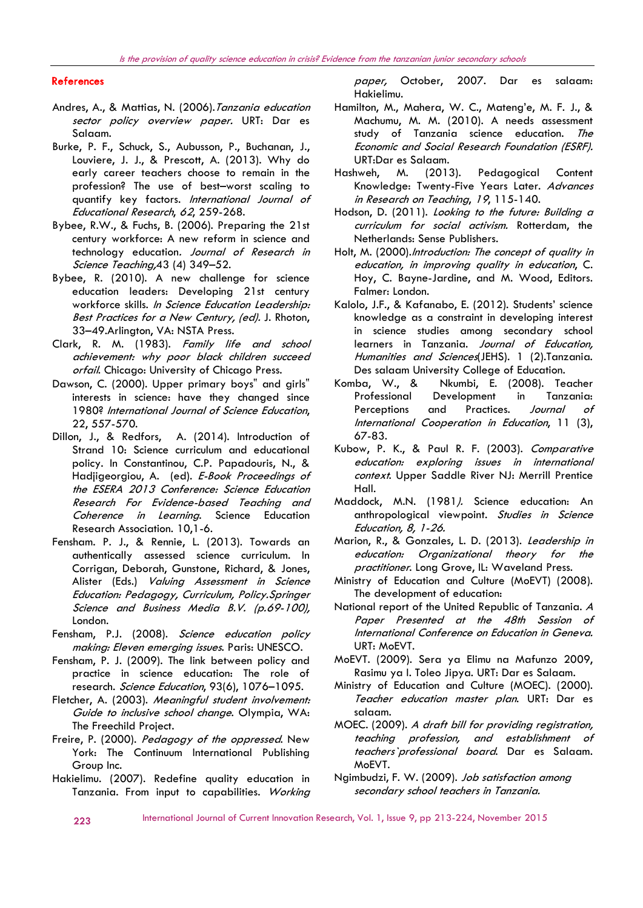#### **References**

- Andres, A., & Mattias, N. (2006). Tanzania education sector policy overview paper. URT: Dar es Salaam.
- Burke, P. F., Schuck, S., Aubusson, P., Buchanan, J., Louviere, J. J., & Prescott, A. (2013). Why do early career teachers choose to remain in the profession? The use of best–worst scaling to quantify key factors. International Journal of Educational Research, 62, 259-268.
- Bybee, R.W., & Fuchs, B. (2006). Preparing the 21st century workforce: A new reform in science and technology education. Journal of Research in Science Teaching, 43 (4) 349-52.
- Bybee, R. (2010). A new challenge for science education leaders: Developing 21st century workforce skills. In Science Education Leadership: Best Practices for a New Century, (ed). J. Rhoton, 33–49.Arlington, VA: NSTA Press.
- Clark, R. M. (1983). Family life and school achievement: why poor black children succeed orfail. Chicago: University of Chicago Press.
- Dawson, C. (2000). Upper primary boys" and girls" interests in science: have they changed since 1980? International Journal of Science Education, 22, 557-570.
- Dillon, J., & Redfors, A. (2014). Introduction of Strand 10: Science curriculum and educational policy. In Constantinou, C.P. Papadouris, N., & Hadjigeorgiou, A. (ed). E-Book Proceedings of the ESERA 2013 Conference: Science Education Research For Evidence-based Teaching and Coherence in Learning. Science Education Research Association. 10,1-6.
- Fensham. P. J., & Rennie, L. (2013). Towards an authentically assessed science curriculum. In Corrigan, Deborah, Gunstone, Richard, & Jones, Alister (Eds.) Valuing Assessment in Science Education: Pedagogy, Curriculum, Policy.Springer Science and Business Media B.V. (p.69-100), London.
- Fensham, P.J. (2008). Science education policy making: Eleven emerging issues. Paris: UNESCO.
- Fensham, P. J. (2009). The link between policy and practice in science education: The role of research. Science Education, 93(6), 1076-1095.
- Fletcher, A. (2003). Meaningful student involvement: Guide to inclusive school change. Olympia, WA: The Freechild Project.
- Freire, P. (2000). Pedagogy of the oppressed. New York: The Continuum International Publishing Group Inc.
- Hakielimu. (2007). Redefine quality education in Tanzania. From input to capabilities. Working

paper, October, 2007. Dar es salaam: Hakielimu.

- Hamilton, M., Mahera, W. C., Mateng'e, M. F. J., & Machumu, M. M. (2010). A needs assessment study of Tanzania science education. The Economic and Social Research Foundation (ESRF). URT:Dar es Salaam.
- Hashweh, M. (2013). Pedagogical Content Knowledge: Twenty-Five Years Later. Advances in Research on Teaching, 19, 115-140.
- Hodson, D. (2011). Looking to the future: Building a curriculum for social activism. Rotterdam, the Netherlands: Sense Publishers.
- Holt, M. (2000).Introduction: The concept of quality in education, in improving quality in education, C. Hoy, C. Bayne-Jardine, and M. Wood, Editors. Falmer: London.
- Kalolo, J.F., & Kafanabo, E. (2012). Students' science knowledge as a constraint in developing interest in science studies among secondary school learners in Tanzania. Journal of Education, Humanities and Sciences(JEHS). 1 (2).Tanzania. Des salaam University College of Education.
- Komba, W., & Nkumbi, E. (2008). Teacher Professional Development in Tanzania: Perceptions and Practices. Journal of International Cooperation in Education, 11 (3), 67-83.
- Kubow, P. K., & Paul R. F. (2003). Comparative education: exploring issues in international context. Upper Saddle River NJ: Merrill Prentice Hall.
- Maddock, M.N. (1981). Science education: An anthropological viewpoint. Studies in Science Education, 8, 1-26.
- Marion, R., & Gonzales, L. D. (2013). Leadership in education: Organizational theory for the practitioner. Long Grove, IL: Waveland Press.
- Ministry of Education and Culture (MoEVT) (2008). The development of education:
- National report of the United Republic of Tanzania. <sup>A</sup> Paper Presented at the 48th Session of International Conference on Education in Geneva. URT: MoEVT.
- MoEVT. (2009). Sera ya Elimu na Mafunzo 2009, Rasimu ya I. Toleo Jipya. URT: Dar es Salaam.
- Ministry of Education and Culture (MOEC). (2000). Teacher education master plan. URT: Dar es salaam.
- MOEC. (2009). A draft bill for providing registration, teaching profession, and establishment of teachers`professional board. Dar es Salaam. MoEVT.
- Ngimbudzi, F. W. (2009). Job satisfaction amona secondary school teachers in Tanzania.

223 International Journal of Current Innovation Research, Vol. 1, Issue 9, pp 213-224, November 2015